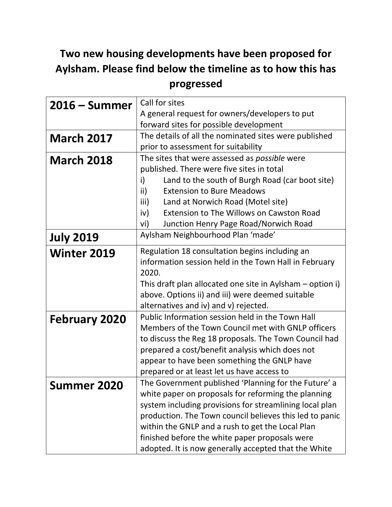## **Two new housing developments have been proposed for Aylsham. Please find below the timeline as to how this has progressed**

| $2016 - Summer$      | Call for sites                                            |
|----------------------|-----------------------------------------------------------|
|                      | A general request for owners/developers to put            |
|                      | forward sites for possible development                    |
| <b>March 2017</b>    | The details of all the nominated sites were published     |
|                      | prior to assessment for suitability                       |
| <b>March 2018</b>    | The sites that were assessed as <i>possible</i> were      |
|                      | published. There were five sites in total                 |
|                      | Land to the south of Burgh Road (car boot site)<br>i)     |
|                      | <b>Extension to Bure Meadows</b><br>ii)                   |
|                      | Land at Norwich Road (Motel site)<br>iii)                 |
|                      | <b>Extension to The Willows on Cawston Road</b><br>iv)    |
|                      | Junction Henry Page Road/Norwich Road<br>vi)              |
| <b>July 2019</b>     | Aylsham Neighbourhood Plan 'made'                         |
| <b>Winter 2019</b>   | Regulation 18 consultation begins including an            |
|                      | information session held in the Town Hall in February     |
|                      | 2020.                                                     |
|                      | This draft plan allocated one site in Aylsham – option i) |
|                      | above. Options ii) and iii) were deemed suitable          |
|                      | alternatives and iv) and v) rejected.                     |
| <b>February 2020</b> | Public Information session held in the Town Hall          |
|                      | Members of the Town Council met with GNLP officers        |
|                      | to discuss the Reg 18 proposals. The Town Council had     |
|                      | prepared a cost/benefit analysis which does not           |
|                      | appear to have been something the GNLP have               |
|                      | prepared or at least let us have access to                |
| <b>Summer 2020</b>   | The Government published 'Planning for the Future' a      |
|                      | white paper on proposals for reforming the planning       |
|                      | system including provisions for streamlining local plan   |
|                      | production. The Town council believes this led to panic   |
|                      | within the GNLP and a rush to get the Local Plan          |
|                      | finished before the white paper proposals were            |
|                      | adopted. It is now generally accepted that the White      |